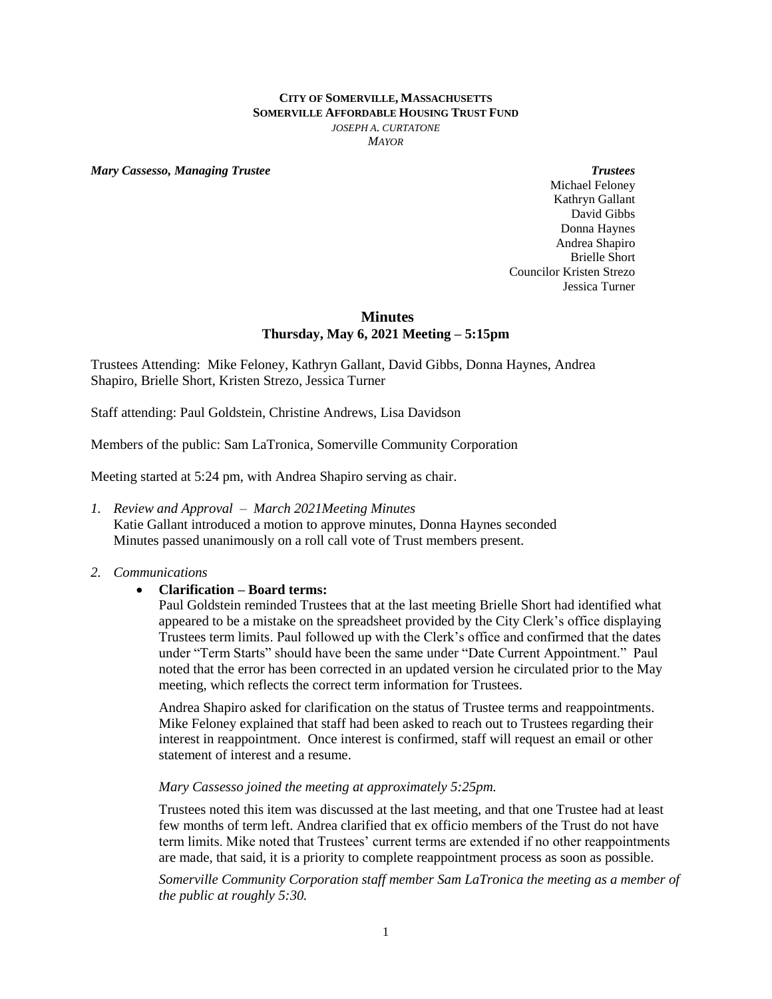#### **CITY OF SOMERVILLE, MASSACHUSETTS SOMERVILLE AFFORDABLE HOUSING TRUST FUND** *JOSEPH A. CURTATONE MAYOR*

*Mary Cassesso, Managing Trustee Trustees*

Michael Feloney Kathryn Gallant David Gibbs Donna Haynes Andrea Shapiro Brielle Short Councilor Kristen Strezo Jessica Turner

## **Minutes Thursday, May 6, 2021 Meeting – 5:15pm**

Trustees Attending: Mike Feloney, Kathryn Gallant, David Gibbs, Donna Haynes, Andrea Shapiro, Brielle Short, Kristen Strezo, Jessica Turner

Staff attending: Paul Goldstein, Christine Andrews, Lisa Davidson

Members of the public: Sam LaTronica, Somerville Community Corporation

Meeting started at 5:24 pm, with Andrea Shapiro serving as chair.

*1. Review and Approval – March 2021Meeting Minutes* Katie Gallant introduced a motion to approve minutes, Donna Haynes seconded Minutes passed unanimously on a roll call vote of Trust members present.

## *2. Communications*

# **Clarification – Board terms:**

Paul Goldstein reminded Trustees that at the last meeting Brielle Short had identified what appeared to be a mistake on the spreadsheet provided by the City Clerk's office displaying Trustees term limits. Paul followed up with the Clerk's office and confirmed that the dates under "Term Starts" should have been the same under "Date Current Appointment." Paul noted that the error has been corrected in an updated version he circulated prior to the May meeting, which reflects the correct term information for Trustees.

Andrea Shapiro asked for clarification on the status of Trustee terms and reappointments. Mike Feloney explained that staff had been asked to reach out to Trustees regarding their interest in reappointment. Once interest is confirmed, staff will request an email or other statement of interest and a resume.

## *Mary Cassesso joined the meeting at approximately 5:25pm.*

Trustees noted this item was discussed at the last meeting, and that one Trustee had at least few months of term left. Andrea clarified that ex officio members of the Trust do not have term limits. Mike noted that Trustees' current terms are extended if no other reappointments are made, that said, it is a priority to complete reappointment process as soon as possible.

*Somerville Community Corporation staff member Sam LaTronica the meeting as a member of the public at roughly 5:30.*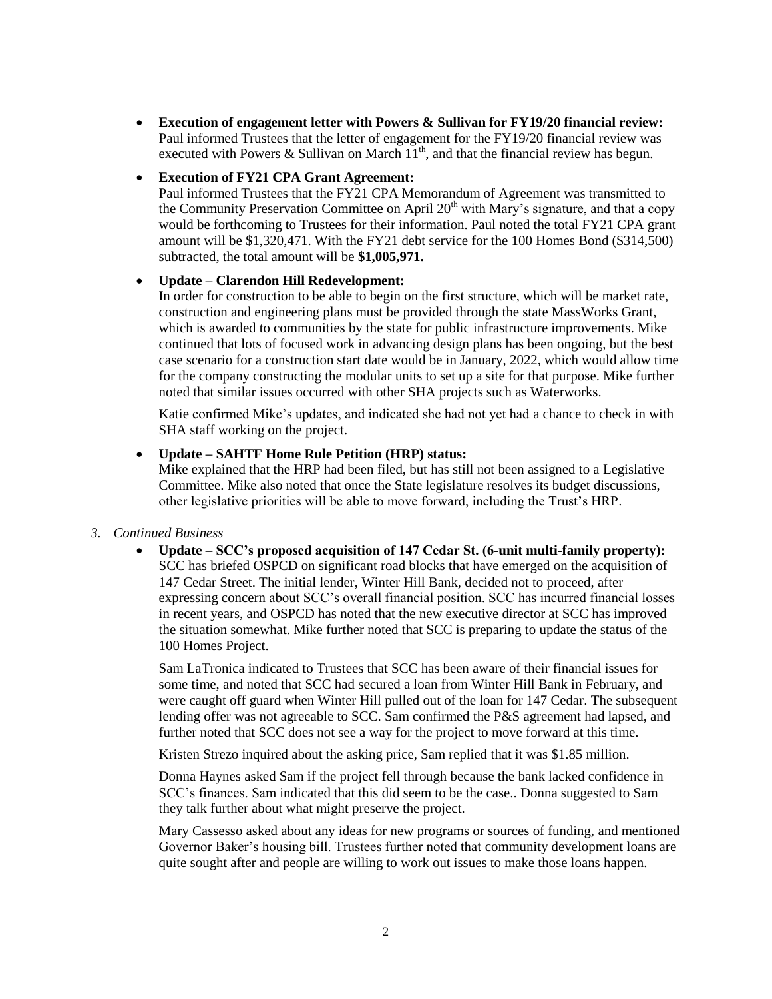**Execution of engagement letter with Powers & Sullivan for FY19/20 financial review:**  Paul informed Trustees that the letter of engagement for the FY19/20 financial review was executed with Powers & Sullivan on March  $11<sup>th</sup>$ , and that the financial review has begun.

## **Execution of FY21 CPA Grant Agreement:**

Paul informed Trustees that the FY21 CPA Memorandum of Agreement was transmitted to the Community Preservation Committee on April  $20<sup>th</sup>$  with Mary's signature, and that a copy would be forthcoming to Trustees for their information. Paul noted the total FY21 CPA grant amount will be \$1,320,471. With the FY21 debt service for the 100 Homes Bond (\$314,500) subtracted, the total amount will be **\$1,005,971.**

## **Update – Clarendon Hill Redevelopment:**

In order for construction to be able to begin on the first structure, which will be market rate, construction and engineering plans must be provided through the state MassWorks Grant, which is awarded to communities by the state for public infrastructure improvements. Mike continued that lots of focused work in advancing design plans has been ongoing, but the best case scenario for a construction start date would be in January, 2022, which would allow time for the company constructing the modular units to set up a site for that purpose. Mike further noted that similar issues occurred with other SHA projects such as Waterworks.

Katie confirmed Mike's updates, and indicated she had not yet had a chance to check in with SHA staff working on the project.

## **Update – SAHTF Home Rule Petition (HRP) status:**

Mike explained that the HRP had been filed, but has still not been assigned to a Legislative Committee. Mike also noted that once the State legislature resolves its budget discussions, other legislative priorities will be able to move forward, including the Trust's HRP.

## *3. Continued Business*

 **Update – SCC's proposed acquisition of 147 Cedar St. (6-unit multi-family property):** SCC has briefed OSPCD on significant road blocks that have emerged on the acquisition of 147 Cedar Street. The initial lender, Winter Hill Bank, decided not to proceed, after expressing concern about SCC's overall financial position. SCC has incurred financial losses in recent years, and OSPCD has noted that the new executive director at SCC has improved the situation somewhat. Mike further noted that SCC is preparing to update the status of the 100 Homes Project.

Sam LaTronica indicated to Trustees that SCC has been aware of their financial issues for some time, and noted that SCC had secured a loan from Winter Hill Bank in February, and were caught off guard when Winter Hill pulled out of the loan for 147 Cedar. The subsequent lending offer was not agreeable to SCC. Sam confirmed the P&S agreement had lapsed, and further noted that SCC does not see a way for the project to move forward at this time.

Kristen Strezo inquired about the asking price, Sam replied that it was \$1.85 million.

Donna Haynes asked Sam if the project fell through because the bank lacked confidence in SCC's finances. Sam indicated that this did seem to be the case.. Donna suggested to Sam they talk further about what might preserve the project.

Mary Cassesso asked about any ideas for new programs or sources of funding, and mentioned Governor Baker's housing bill. Trustees further noted that community development loans are quite sought after and people are willing to work out issues to make those loans happen.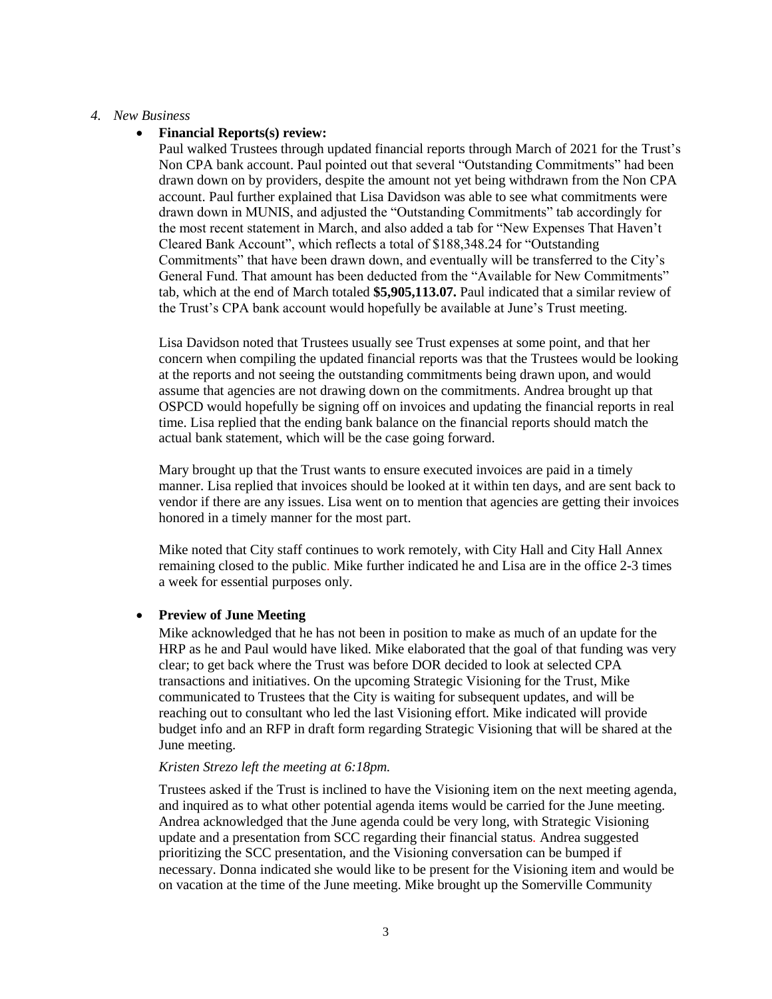## *4. New Business*

### **Financial Reports(s) review:**

Paul walked Trustees through updated financial reports through March of 2021 for the Trust's Non CPA bank account. Paul pointed out that several "Outstanding Commitments" had been drawn down on by providers, despite the amount not yet being withdrawn from the Non CPA account. Paul further explained that Lisa Davidson was able to see what commitments were drawn down in MUNIS, and adjusted the "Outstanding Commitments" tab accordingly for the most recent statement in March, and also added a tab for "New Expenses That Haven't Cleared Bank Account", which reflects a total of \$188,348.24 for "Outstanding Commitments" that have been drawn down, and eventually will be transferred to the City's General Fund. That amount has been deducted from the "Available for New Commitments" tab, which at the end of March totaled **\$5,905,113.07.** Paul indicated that a similar review of the Trust's CPA bank account would hopefully be available at June's Trust meeting.

Lisa Davidson noted that Trustees usually see Trust expenses at some point, and that her concern when compiling the updated financial reports was that the Trustees would be looking at the reports and not seeing the outstanding commitments being drawn upon, and would assume that agencies are not drawing down on the commitments. Andrea brought up that OSPCD would hopefully be signing off on invoices and updating the financial reports in real time. Lisa replied that the ending bank balance on the financial reports should match the actual bank statement, which will be the case going forward.

Mary brought up that the Trust wants to ensure executed invoices are paid in a timely manner. Lisa replied that invoices should be looked at it within ten days, and are sent back to vendor if there are any issues. Lisa went on to mention that agencies are getting their invoices honored in a timely manner for the most part.

Mike noted that City staff continues to work remotely, with City Hall and City Hall Annex remaining closed to the public*.* Mike further indicated he and Lisa are in the office 2-3 times a week for essential purposes only*.*

#### **Preview of June Meeting**

Mike acknowledged that he has not been in position to make as much of an update for the HRP as he and Paul would have liked. Mike elaborated that the goal of that funding was very clear; to get back where the Trust was before DOR decided to look at selected CPA transactions and initiatives. On the upcoming Strategic Visioning for the Trust, Mike communicated to Trustees that the City is waiting for subsequent updates, and will be reaching out to consultant who led the last Visioning effort. Mike indicated will provide budget info and an RFP in draft form regarding Strategic Visioning that will be shared at the June meeting.

## *Kristen Strezo left the meeting at 6:18pm.*

Trustees asked if the Trust is inclined to have the Visioning item on the next meeting agenda, and inquired as to what other potential agenda items would be carried for the June meeting. Andrea acknowledged that the June agenda could be very long, with Strategic Visioning update and a presentation from SCC regarding their financial status*.* Andrea suggested prioritizing the SCC presentation, and the Visioning conversation can be bumped if necessary. Donna indicated she would like to be present for the Visioning item and would be on vacation at the time of the June meeting. Mike brought up the Somerville Community